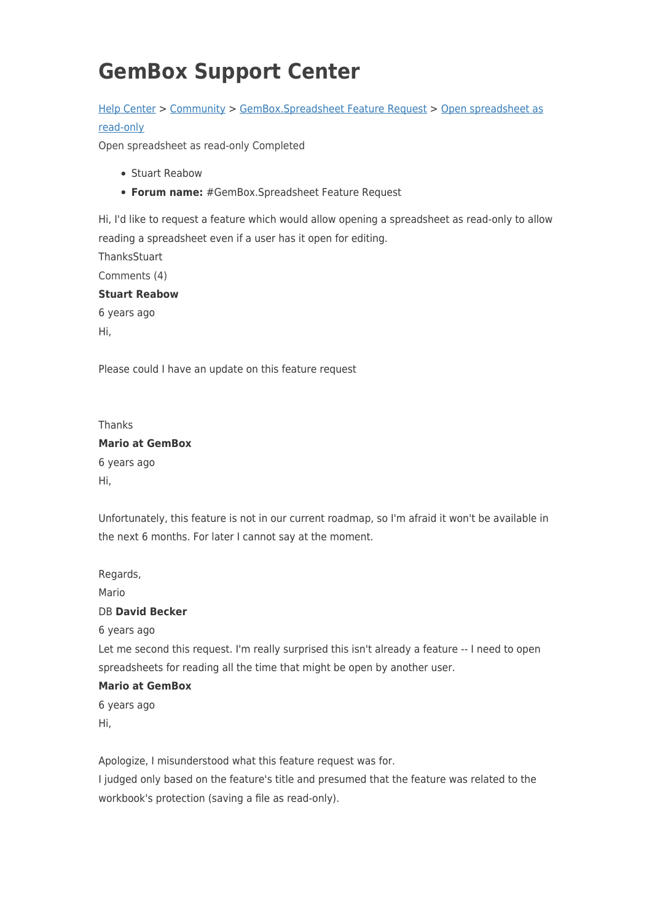## **GemBox Support Center**

## [Help Center](https://support.gemboxsoftware.com/) > [Community](https://support.gemboxsoftware.com/community) > [GemBox.Spreadsheet Feature Request](https://support.gemboxsoftware.com/community/browse/type-1/view-list/viewmode-compact) > [Open spreadsheet as](https://support.gemboxsoftware.com/community/view/open-spreadsheet-as-read-only) [read-only](https://support.gemboxsoftware.com/community/view/open-spreadsheet-as-read-only)

Open spreadsheet as read-only Completed

- Stuart Reabow
- **Forum name:** #GemBox.Spreadsheet Feature Request

Hi, I'd like to request a feature which would allow opening a spreadsheet as read-only to allow reading a spreadsheet even if a user has it open for editing.

**ThanksStuart** Comments (4) **Stuart Reabow** 6 years ago Hi,

Please could I have an update on this feature request

| Thanks                 |
|------------------------|
| <b>Mario at GemBox</b> |
| 6 years ago            |
| Hi,                    |

Unfortunately, this feature is not in our current roadmap, so I'm afraid it won't be available in the next 6 months. For later I cannot say at the moment.

Regards,

Mario

## DB **David Becker**

6 years ago

Let me second this request. I'm really surprised this isn't already a feature -- I need to open spreadsheets for reading all the time that might be open by another user.

## **Mario at GemBox**

6 years ago Hi,

Apologize, I misunderstood what this feature request was for.

I judged only based on the feature's title and presumed that the feature was related to the workbook's protection (saving a file as read-only).